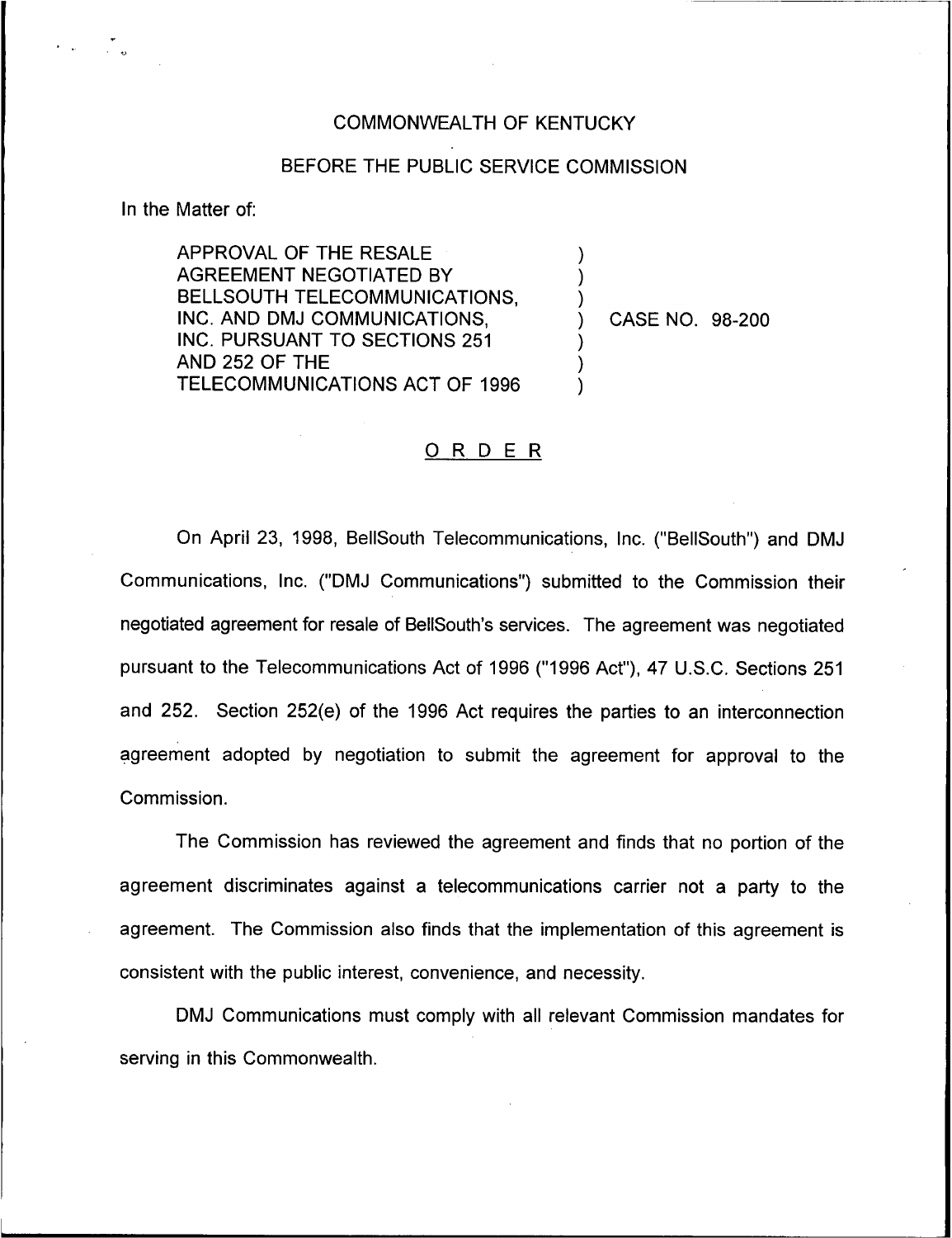## COMMONWEALTH OF KENTUCKY

## BEFORE THE PUBLIC SERVICE COMMISSION

) ) )

) ) )

In the Matter of:

APPROVAL OF THE RESALE AGREEMENT NEGOTIATED BY BELLSOUTH TELECOMMUNICATIONS, INC, AND DMJ COMMUNICATIONS, INC. PURSUANT TO SECTIONS 251 AND 252 OF THE TELECOMMUNICATIONS ACT OF 1996

) CASE NO. 98-200

## ORDER

On April 23, 1998, BellSouth Telecommunications, Inc. ("BelISouth") and DMJ Communications, Inc. ("DMJ Communications") submitted to the Commission their negotiated agreement for resale of BellSouth's services. The agreement was negotiated pursuant to the Telecommunications Act of 1996 ("1996Act"), 47 U.S.C. Sections 251 and 252. Section 252(e) of the 1996 Act requires the parties to an interconnection agreement adopted by negotiation to submit the agreement for approval to the Commission.

The Commission has reviewed the agreement and finds that no portion of the agreement discriminates against a telecommunications carrier not a party to the agreement. The Commission also finds that the implementation of this agreement is consistent with the public interest, convenience, and necessity.

DMJ Communications must comply with all relevant Commission mandates for serving in this Commonwealth.